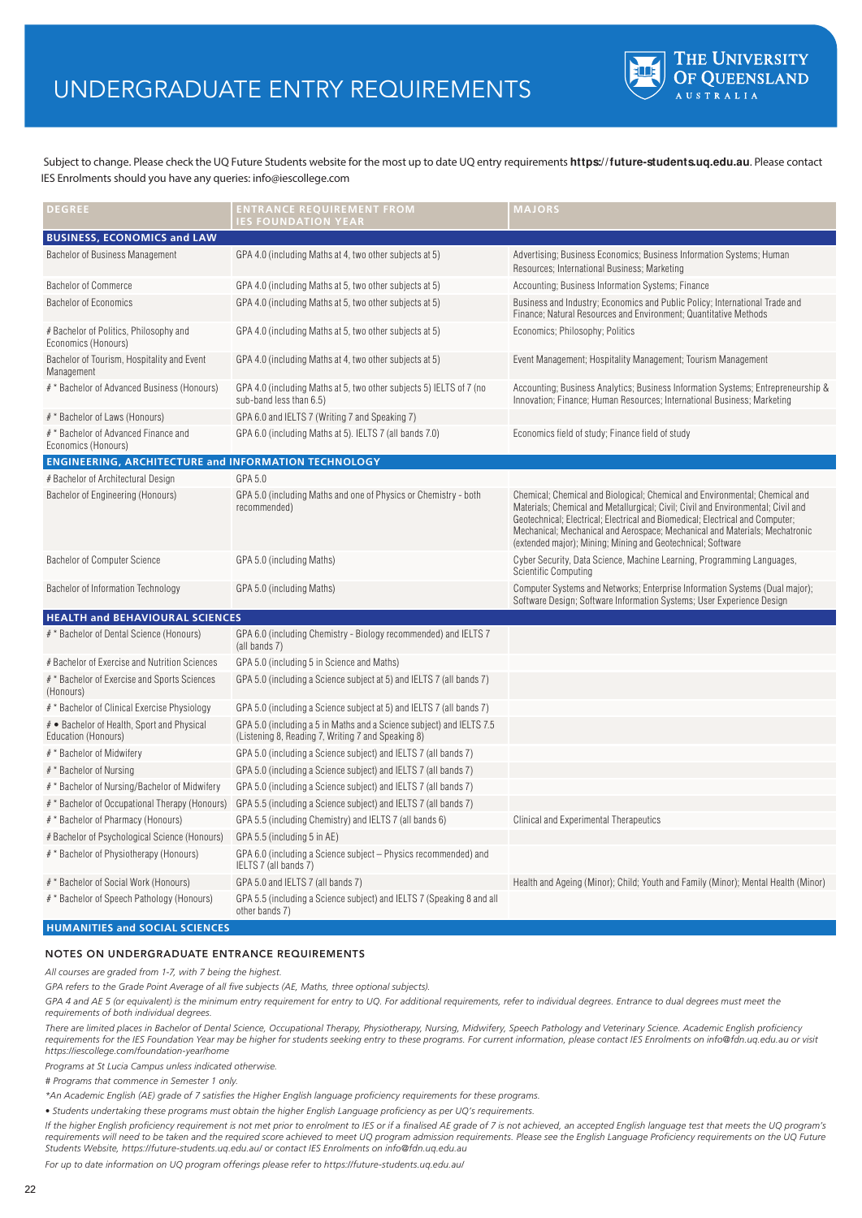## UNDERGRADUATE ENTRY REQUIREMENTS



 Subject to change. Please check the UQ Future Students website for the most up to date UQ entry requirements **https://future-students.uq.edu.au**. Please contact IES Enrolments should you have any queries: info@iescollege.com

| <b>DEGREE</b>                                                     | <b>ENTRANCE REQUIREMENT FROM</b><br><b>IES FOUNDATION YEAR</b>                                                             | <b>MAJORS</b>                                                                                                                                                                                                                                                                                                                                                                                  |
|-------------------------------------------------------------------|----------------------------------------------------------------------------------------------------------------------------|------------------------------------------------------------------------------------------------------------------------------------------------------------------------------------------------------------------------------------------------------------------------------------------------------------------------------------------------------------------------------------------------|
| <b>BUSINESS, ECONOMICS and LAW</b>                                |                                                                                                                            |                                                                                                                                                                                                                                                                                                                                                                                                |
| Bachelor of Business Management                                   | GPA 4.0 (including Maths at 4, two other subjects at 5)                                                                    | Advertising; Business Economics; Business Information Systems; Human<br>Resources; International Business; Marketing                                                                                                                                                                                                                                                                           |
| <b>Bachelor of Commerce</b>                                       | GPA 4.0 (including Maths at 5, two other subjects at 5)                                                                    | Accounting; Business Information Systems; Finance                                                                                                                                                                                                                                                                                                                                              |
| <b>Bachelor of Economics</b>                                      | GPA 4.0 (including Maths at 5, two other subjects at 5)                                                                    | Business and Industry; Economics and Public Policy; International Trade and<br>Finance; Natural Resources and Environment; Quantitative Methods                                                                                                                                                                                                                                                |
| # Bachelor of Politics, Philosophy and<br>Economics (Honours)     | GPA 4.0 (including Maths at 5, two other subjects at 5)                                                                    | Economics; Philosophy; Politics                                                                                                                                                                                                                                                                                                                                                                |
| Bachelor of Tourism, Hospitality and Event<br>Management          | GPA 4.0 (including Maths at 4, two other subjects at 5)                                                                    | Event Management; Hospitality Management; Tourism Management                                                                                                                                                                                                                                                                                                                                   |
| # * Bachelor of Advanced Business (Honours)                       | GPA 4.0 (including Maths at 5, two other subjects 5) IELTS of 7 (no<br>sub-band less than 6.5)                             | Accounting; Business Analytics; Business Information Systems; Entrepreneurship &<br>Innovation; Finance; Human Resources; International Business; Marketing                                                                                                                                                                                                                                    |
| # * Bachelor of Laws (Honours)                                    | GPA 6.0 and IELTS 7 (Writing 7 and Speaking 7)                                                                             |                                                                                                                                                                                                                                                                                                                                                                                                |
| # * Bachelor of Advanced Finance and<br>Economics (Honours)       | GPA 6.0 (including Maths at 5). IELTS 7 (all bands 7.0)                                                                    | Economics field of study; Finance field of study                                                                                                                                                                                                                                                                                                                                               |
| <b>ENGINEERING, ARCHITECTURE and INFORMATION TECHNOLOGY</b>       |                                                                                                                            |                                                                                                                                                                                                                                                                                                                                                                                                |
| # Bachelor of Architectural Design                                | GPA 5.0                                                                                                                    |                                                                                                                                                                                                                                                                                                                                                                                                |
| Bachelor of Engineering (Honours)                                 | GPA 5.0 (including Maths and one of Physics or Chemistry - both<br>recommended)                                            | Chemical; Chemical and Biological; Chemical and Environmental; Chemical and<br>Materials; Chemical and Metallurgical; Civil; Civil and Environmental; Civil and<br>Geotechnical; Electrical; Electrical and Biomedical; Electrical and Computer;<br>Mechanical; Mechanical and Aerospace; Mechanical and Materials; Mechatronic<br>(extended major); Mining; Mining and Geotechnical; Software |
| <b>Bachelor of Computer Science</b>                               | GPA 5.0 (including Maths)                                                                                                  | Cyber Security, Data Science, Machine Learning, Programming Languages,<br>Scientific Computing                                                                                                                                                                                                                                                                                                 |
| Bachelor of Information Technology                                | GPA 5.0 (including Maths)                                                                                                  | Computer Systems and Networks; Enterprise Information Systems (Dual major);<br>Software Design; Software Information Systems; User Experience Design                                                                                                                                                                                                                                           |
| HEALTH and BEHAVIOURAL SCIENCES                                   |                                                                                                                            |                                                                                                                                                                                                                                                                                                                                                                                                |
| # * Bachelor of Dental Science (Honours)                          | GPA 6.0 (including Chemistry - Biology recommended) and IELTS 7<br>(all bands 7)                                           |                                                                                                                                                                                                                                                                                                                                                                                                |
| # Bachelor of Exercise and Nutrition Sciences                     | GPA 5.0 (including 5 in Science and Maths)                                                                                 |                                                                                                                                                                                                                                                                                                                                                                                                |
| # * Bachelor of Exercise and Sports Sciences<br>(Honours)         | GPA 5.0 (including a Science subject at 5) and IELTS 7 (all bands 7)                                                       |                                                                                                                                                                                                                                                                                                                                                                                                |
| # * Bachelor of Clinical Exercise Physiology                      | GPA 5.0 (including a Science subject at 5) and IELTS 7 (all bands 7)                                                       |                                                                                                                                                                                                                                                                                                                                                                                                |
| # • Bachelor of Health, Sport and Physical<br>Education (Honours) | GPA 5.0 (including a 5 in Maths and a Science subject) and IELTS 7.5<br>(Listening 8, Reading 7, Writing 7 and Speaking 8) |                                                                                                                                                                                                                                                                                                                                                                                                |
| # * Bachelor of Midwifery                                         | GPA 5.0 (including a Science subject) and IELTS 7 (all bands 7)                                                            |                                                                                                                                                                                                                                                                                                                                                                                                |
| # * Bachelor of Nursing                                           | GPA 5.0 (including a Science subject) and IELTS 7 (all bands 7)                                                            |                                                                                                                                                                                                                                                                                                                                                                                                |
| # * Bachelor of Nursing/Bachelor of Midwifery                     | GPA 5.0 (including a Science subject) and IELTS 7 (all bands 7)                                                            |                                                                                                                                                                                                                                                                                                                                                                                                |
|                                                                   | # * Bachelor of Occupational Therapy (Honours) GPA 5.5 (including a Science subject) and IELTS 7 (all bands 7)             |                                                                                                                                                                                                                                                                                                                                                                                                |
| # * Bachelor of Pharmacy (Honours)                                | GPA 5.5 (including Chemistry) and IELTS 7 (all bands 6)                                                                    | Clinical and Experimental Therapeutics                                                                                                                                                                                                                                                                                                                                                         |
| # Bachelor of Psychological Science (Honours)                     | GPA 5.5 (including 5 in AE)                                                                                                |                                                                                                                                                                                                                                                                                                                                                                                                |
| # * Bachelor of Physiotherapy (Honours)                           | GPA 6.0 (including a Science subject – Physics recommended) and<br>IELTS 7 (all bands 7)                                   |                                                                                                                                                                                                                                                                                                                                                                                                |
| # * Bachelor of Social Work (Honours)                             | GPA 5.0 and IELTS 7 (all bands 7)                                                                                          | Health and Ageing (Minor); Child; Youth and Family (Minor); Mental Health (Minor)                                                                                                                                                                                                                                                                                                              |
| # * Bachelor of Speech Pathology (Honours)                        | GPA 5.5 (including a Science subject) and IELTS 7 (Speaking 8 and all<br>other bands 7)                                    |                                                                                                                                                                                                                                                                                                                                                                                                |

## **HUMANITIES and SOCIAL SCIENCES**

## NOTES ON UNDERGRADUATE ENTRANCE REQUIREMENTS

*All courses are graded from 1-7, with 7 being the highest.*

*GPA refers to the Grade Point Average of all five subjects (AE, Maths, three optional subjects).*

GPA 4 and AE 5 (or equivalent) is the minimum entry requirement for entry to UQ. For additional requirements, refer to individual degrees. Entrance to dual degrees must meet the *requirements of both individual degrees.*

*There are limited places in Bachelor of Dental Science, Occupational Therapy, Physiotherapy, Nursing, Midwifery, Speech Pathology and Veterinary Science. Academic English proficiency requirements for the IES Foundation Year may be higher for students seeking entry to these programs. For current information, please contact IES Enrolments on info@fdn.uq.edu.au or visit https://iescollege.com/foundation-year/home* 

*Programs at St Lucia Campus unless indicated otherwise.*

*# Programs that commence in Semester 1 only.*

*\*An Academic English (AE) grade of 7 satisfies the Higher English language proficiency requirements for these programs.*

*• Students undertaking these programs must obtain the higher English Language proficiency as per UQ's requirements.*

If the higher English proficiency requirement is not met prior to enrolment to IES or if a finalised AE grade of 7 is not achieved, an accepted English language test that meets the UQ program's requirements will need to be taken and the required score achieved to meet UQ program admission requirements. Please see the English Language Proficiency requirements on the UQ Future *Students Website, https://future-students.uq.edu.au/ or contact IES Enrolments on info@fdn.uq.edu.au* 

*For up to date information on UQ program offerings please refer to https://future-students.uq.edu.au/*